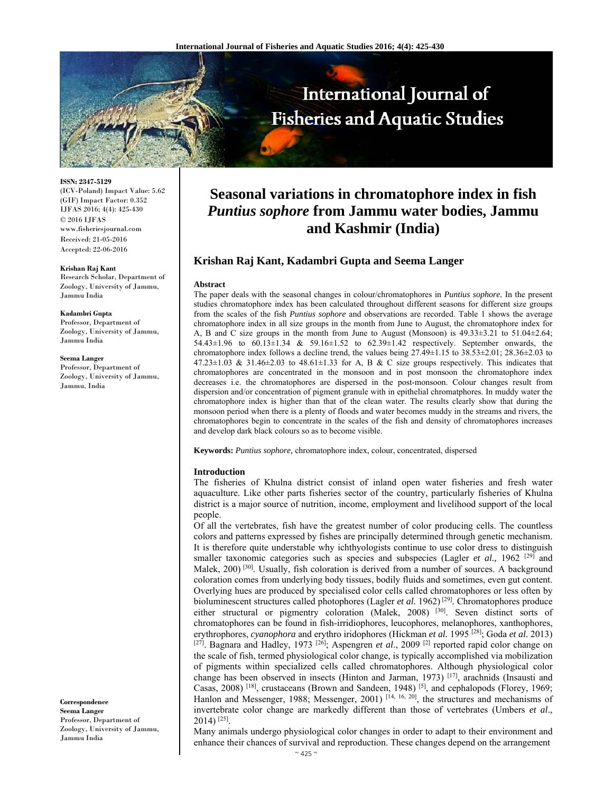

**ISSN: 2347-5129** 

(ICV-Poland) Impact Value: 5.62 (GIF) Impact Factor: 0.352 IJFAS 2016; 4(4): 425-430 © 2016 IJFAS www.fisheriesjournal.com Received: 21-05-2016 Accepted: 22-06-2016

#### **Krishan Raj Kant**

Research Scholar, Department of Zoology, University of Jammu, Jammu India

#### **Kadambri Gupta**

Professor, Department of Zoology, University of Jammu, Jammu India

#### **Seema Langer**

Professor, Department of Zoology, University of Jammu, Jammu, India

**Correspondence Seema Langer** Professor, Department of Zoology, University of Jammu, Jammu India

# **Seasonal variations in chromatophore index in fish**  *Puntius sophore* **from Jammu water bodies, Jammu and Kashmir (India)**

# **Krishan Raj Kant, Kadambri Gupta and Seema Langer**

#### **Abstract**

The paper deals with the seasonal changes in colour/chromatophores in *Puntius sophore.* In the present studies chromatophore index has been calculated throughout different seasons for different size groups from the scales of the fish *Puntius sophore* and observations are recorded. Table 1 shows the average chromatophore index in all size groups in the month from June to August, the chromatophore index for A, B and C size groups in the month from June to August (Monsoon) is 49.33±3.21 to 51.04±2.64; 54.43±1.96 to 60.13±1.34 & 59.16±1.52 to 62.39±1.42 respectively. September onwards, the chromatophore index follows a decline trend, the values being 27.49±1.15 to 38.53±2.01; 28.36±2.03 to 47.23 $\pm$ 1.03 & 31.46 $\pm$ 2.03 to 48.61 $\pm$ 1.33 for A, B & C size groups respectively. This indicates that chromatophores are concentrated in the monsoon and in post monsoon the chromatophore index decreases i.e. the chromatophores are dispersed in the post-monsoon. Colour changes result from dispersion and/or concentration of pigment granule with in epithelial chromatphores. In muddy water the chromatophore index is higher than that of the clean water. The results clearly show that during the monsoon period when there is a plenty of floods and water becomes muddy in the streams and rivers, the chromatophores begin to concentrate in the scales of the fish and density of chromatophores increases and develop dark black colours so as to become visible.

**Keywords:** *Puntius sophore,* chromatophore index, colour, concentrated, dispersed

#### **Introduction**

The fisheries of Khulna district consist of inland open water fisheries and fresh water aquaculture. Like other parts fisheries sector of the country, particularly fisheries of Khulna district is a major source of nutrition, income, employment and livelihood support of the local people.

Of all the vertebrates, fish have the greatest number of color producing cells. The countless colors and patterns expressed by fishes are principally determined through genetic mechanism. It is therefore quite understable why ichthyologists continue to use color dress to distinguish smaller taxonomic categories such as species and subspecies (Lagler *et al.*, 1962<sup>[29]</sup> and Malek, 200)<sup>[30]</sup>. Usually, fish coloration is derived from a number of sources. A background coloration comes from underlying body tissues, bodily fluids and sometimes, even gut content. Overlying hues are produced by specialised color cells called chromatophores or less often by bioluminescent structures called photophores (Lagler *et al.* 1962)<sup>[29]</sup>. Chromatophores produce either structural or pigmentry coloration (Malek, 2008) <sup>[30]</sup>. Seven distinct sorts of chromatophores can be found in fish-irridiophores, leucophores, melanophores, xanthophores, erythrophores, *cyanophora* and erythro iridophores (Hickman *et al.* 1995 [28]; Goda *et al.* 2013) [27]. Bagnara and Hadley, 1973 [26]; Aspengren *et al*., 2009 [2] reported rapid color change on the scale of fish, termed physiological color change, is typically accomplished via mobilization of pigments within specialized cells called chromatophores. Although physiological color change has been observed in insects (Hinton and Jarman, 1973) [17], arachnids (Insausti and Casas, 2008) [18], crustaceans (Brown and Sandeen, 1948) [5], and cephalopods (Florey, 1969; Hanlon and Messenger, 1988; Messenger, 2001)<sup>[14, 16, 20]</sup>, the structures and mechanisms of invertebrate color change are markedly different than those of vertebrates (Umbers *et al*., 2014) [25].

Many animals undergo physiological color changes in order to adapt to their environment and enhance their chances of survival and reproduction. These changes depend on the arrangement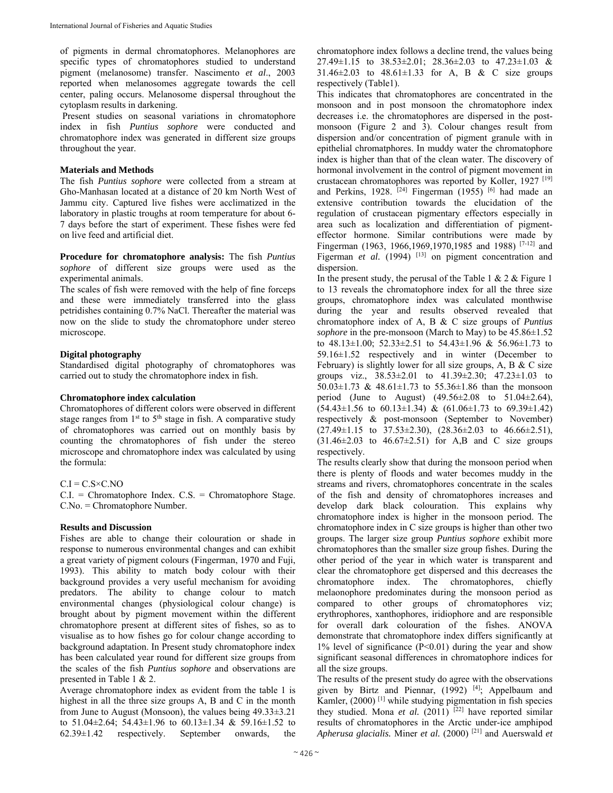of pigments in dermal chromatophores. Melanophores are specific types of chromatophores studied to understand pigment (melanosome) transfer. Nascimento *et al*., 2003 reported when melanosomes aggregate towards the cell center, paling occurs. Melanosome dispersal throughout the cytoplasm results in darkening.

 Present studies on seasonal variations in chromatophore index in fish *Puntius sophore* were conducted and chromatophore index was generated in different size groups throughout the year.

## **Materials and Methods**

The fish *Puntius sophore* were collected from a stream at Gho-Manhasan located at a distance of 20 km North West of Jammu city. Captured live fishes were acclimatized in the laboratory in plastic troughs at room temperature for about 6- 7 days before the start of experiment. These fishes were fed on live feed and artificial diet.

**Procedure for chromatophore analysis:** The fish *Puntius sophore* of different size groups were used as the experimental animals.

The scales of fish were removed with the help of fine forceps and these were immediately transferred into the glass petridishes containing 0.7% NaCl. Thereafter the material was now on the slide to study the chromatophore under stereo microscope.

# **Digital photography**

Standardised digital photography of chromatophores was carried out to study the chromatophore index in fish.

#### **Chromatophore index calculation**

Chromatophores of different colors were observed in different stage ranges from  $1<sup>st</sup>$  to  $5<sup>th</sup>$  stage in fish. A comparative study of chromatophores was carried out on monthly basis by counting the chromatophores of fish under the stereo microscope and chromatophore index was calculated by using the formula:

## $C.I = C.S \times C.NO$

C.I. = Chromatophore Index. C.S. = Chromatophore Stage. C.No. = Chromatophore Number.

#### **Results and Discussion**

Fishes are able to change their colouration or shade in response to numerous environmental changes and can exhibit a great variety of pigment colours (Fingerman, 1970 and Fuji, 1993). This ability to match body colour with their background provides a very useful mechanism for avoiding predators. The ability to change colour to match environmental changes (physiological colour change) is brought about by pigment movement within the different chromatophore present at different sites of fishes, so as to visualise as to how fishes go for colour change according to background adaptation. In Present study chromatophore index has been calculated year round for different size groups from the scales of the fish *Puntius sophore* and observations are presented in Table 1 & 2.

Average chromatophore index as evident from the table 1 is highest in all the three size groups A, B and C in the month from June to August (Monsoon), the values being 49.33±3.21 to 51.04±2.64; 54.43±1.96 to 60.13±1.34 & 59.16±1.52 to 62.39±1.42 respectively. September onwards, the

chromatophore index follows a decline trend, the values being 27.49±1.15 to 38.53±2.01; 28.36±2.03 to 47.23±1.03 &  $31.46 \pm 2.03$  to  $48.61 \pm 1.33$  for A, B & C size groups respectively (Table1).

This indicates that chromatophores are concentrated in the monsoon and in post monsoon the chromatophore index decreases i.e. the chromatophores are dispersed in the postmonsoon (Figure 2 and 3). Colour changes result from dispersion and/or concentration of pigment granule with in epithelial chromatphores. In muddy water the chromatophore index is higher than that of the clean water. The discovery of hormonal involvement in the control of pigment movement in crustacean chromatophores was reported by Koller, 1927 [19] and Perkins, 1928.  $[24]$  Fingerman (1955) [6] had made an extensive contribution towards the elucidation of the regulation of crustacean pigmentary effectors especially in area such as localization and differentiation of pigmenteffector hormone. Similar contributions were made by Fingerman (1963, 1966,1969,1970,1985 and 1988) [7-12] and Figerman *et al.* (1994) <sup>[13]</sup> on pigment concentration and dispersion.

In the present study, the perusal of the Table 1 & 2 & Figure 1 to 13 reveals the chromatophore index for all the three size groups, chromatophore index was calculated monthwise during the year and results observed revealed that chromatophore index of A, B & C size groups of *Puntius sophore* in the pre-monsoon (March to May) to be 45.86±1.52 to  $48.13 \pm 1.00$ ;  $52.33 \pm 2.51$  to  $54.43 \pm 1.96$  &  $56.96 \pm 1.73$  to 59.16±1.52 respectively and in winter (December to February) is slightly lower for all size groups, A, B  $&$  C size groups viz.,  $38.53 \pm 2.01$  to  $41.39 \pm 2.30$ ;  $47.23 \pm 1.03$  to 50.03±1.73 & 48.61±1.73 to 55.36±1.86 than the monsoon period (June to August) (49.56±2.08 to 51.04±2.64),  $(54.43\pm1.56 \text{ to } 60.13\pm1.34) \& (61.06\pm1.73 \text{ to } 69.39\pm1.42)$ respectively & post-monsoon (September to November)  $(27.49\pm1.15 \text{ to } 37.53\pm2.30), (28.36\pm2.03 \text{ to } 46.66\pm2.51),$  $(31.46\pm2.03 \text{ to } 46.67\pm2.51) \text{ for } A,B \text{ and } C \text{ size groups}$ respectively.

The results clearly show that during the monsoon period when there is plenty of floods and water becomes muddy in the streams and rivers, chromatophores concentrate in the scales of the fish and density of chromatophores increases and develop dark black colouration. This explains why chromatophore index is higher in the monsoon period. The chromatophore index in C size groups is higher than other two groups. The larger size group *Puntius sophore* exhibit more chromatophores than the smaller size group fishes. During the other period of the year in which water is transparent and clear the chromatophore get dispersed and this decreases the chromatophore index. The chromatophores, chiefly melaonophore predominates during the monsoon period as compared to other groups of chromatophores viz; erythrophores, xanthophores, iridiophore and are responsible for overall dark colouration of the fishes. ANOVA demonstrate that chromatophore index differs significantly at 1% level of significance (P<0.01) during the year and show significant seasonal differences in chromatophore indices for all the size groups.

The results of the present study do agree with the observations given by Birtz and Piennar,  $(1992)$  [4]; Appelbaum and Kamler, (2000) [1] while studying pigmentation in fish species they studied. Mona *et al.* (2011) <sup>[22]</sup> have reported similar results of chromatophores in the Arctic under-ice amphipod *Apherusa glacialis.* Miner *et al.* (2000) [21] and Auerswald *et*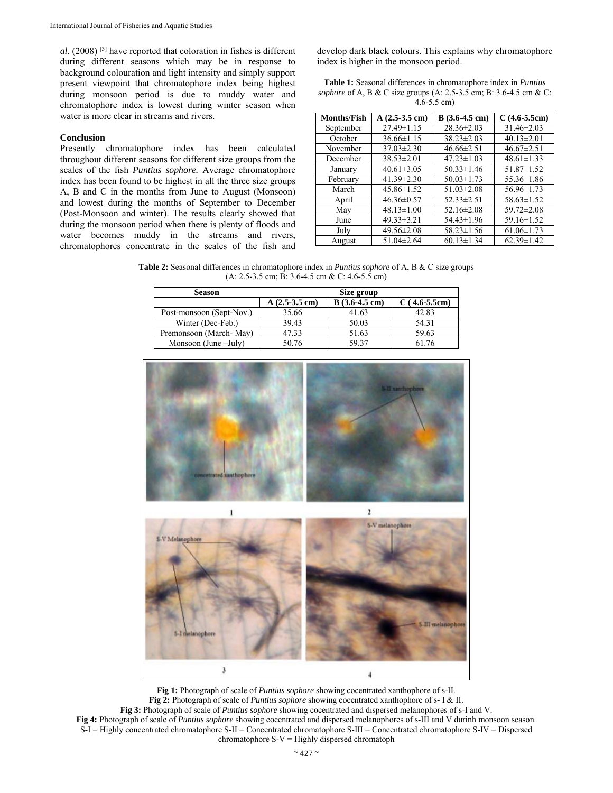*al.* (2008) [3] have reported that coloration in fishes is different during different seasons which may be in response to background colouration and light intensity and simply support present viewpoint that chromatophore index being highest during monsoon period is due to muddy water and chromatophore index is lowest during winter season when water is more clear in streams and rivers.

# **Conclusion**

Presently chromatophore index has been calculated throughout different seasons for different size groups from the scales of the fish *Puntius sophore.* Average chromatophore index has been found to be highest in all the three size groups A, B and C in the months from June to August (Monsoon) and lowest during the months of September to December (Post-Monsoon and winter). The results clearly showed that during the monsoon period when there is plenty of floods and water becomes muddy in the streams and rivers, chromatophores concentrate in the scales of the fish and

develop dark black colours. This explains why chromatophore index is higher in the monsoon period.

| <b>Table 1:</b> Seasonal differences in chromatophore index in <i>Puntius</i> |
|-------------------------------------------------------------------------------|
| sophore of A, B & C size groups (A: 2.5-3.5 cm; B: 3.6-4.5 cm & C:            |
| $4.6 - 5.5$ cm)                                                               |

| <b>Months/Fish</b> | $A(2.5-3.5$ cm)  | $B(3.6-4.5$ cm)  | $C(4.6-5.5cm)$   |
|--------------------|------------------|------------------|------------------|
| September          | $27.49 \pm 1.15$ | $28.36 \pm 2.03$ | $31.46 \pm 2.03$ |
| October            | $36.66 \pm 1.15$ | $38.23 \pm 2.03$ | $40.13 \pm 2.01$ |
| November           | $37.03 \pm 2.30$ | $46.66 \pm 2.51$ | $46.67 \pm 2.51$ |
| December           | $38.53 \pm 2.01$ | $47.23 \pm 1.03$ | $48.61 \pm 1.33$ |
| January            | $40.61 \pm 3.05$ | $50.33 \pm 1.46$ | $51.87 \pm 1.52$ |
| February           | $41.39 \pm 2.30$ | $50.03 \pm 1.73$ | 55.36±1.86       |
| March              | $45.86 \pm 1.52$ | $51.03 \pm 2.08$ | 56.96±1.73       |
| April              | $46.36 \pm 0.57$ | $52.33 \pm 2.51$ | $58.63 \pm 1.52$ |
| May                | $48.13 \pm 1.00$ | $52.16 \pm 2.08$ | $59.72 \pm 2.08$ |
| June               | $49.33 \pm 3.21$ | 54.43±1.96       | 59.16±1.52       |
| July               | 49.56±2.08       | $58.23 \pm 1.56$ | $61.06 \pm 1.73$ |
| August             | $51.04 \pm 2.64$ | $60.13 \pm 1.34$ | $62.39 \pm 1.42$ |

**Table 2:** Seasonal differences in chromatophore index in *Puntius sophore* of A, B & C size groups (A: 2.5-3.5 cm; B: 3.6-4.5 cm & C: 4.6-5.5 cm)

| <b>Season</b>            | Size group      |                         |               |
|--------------------------|-----------------|-------------------------|---------------|
|                          | $A(2.5-3.5$ cm) | $B(3.6-4.5 \text{ cm})$ | $(4.6-5.5cm)$ |
| Post-monsoon (Sept-Nov.) | 35.66           | 41.63                   | 42.83         |
| Winter (Dec-Feb.)        | 39.43           | 50.03                   | 54.31         |
| Premonsoon (March-May)   | 47.33           | 51.63                   | 59.63         |
| Monsoon (June $-July$ )  | 50.76           | 59.37                   | 61.76         |



**Fig 1:** Photograph of scale of *Puntius sophore* showing cocentrated xanthophore of s-II. **Fig 2:** Photograph of scale of *Puntius sophore* showing cocentrated xanthophore of s- I & II. **Fig 3:** Photograph of scale of *Puntius sophore* showing cocentrated and dispersed melanophores of s-I and V. **Fig 4:** Photograph of scale of *Puntius sophore* showing cocentrated and dispersed melanophores of s-III and V durinh monsoon season. S-I = Highly concentrated chromatophore S-II = Concentrated chromatophore S-III = Concentrated chromatophore S-IV = Dispersed chromatophore  $S-V =$  Highly dispersed chromatoph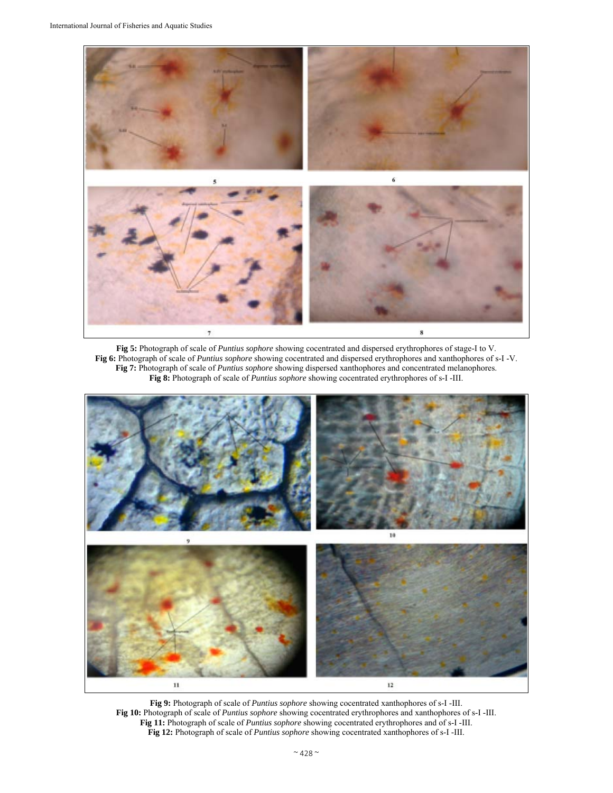

**Fig 5:** Photograph of scale of *Puntius sophore* showing cocentrated and dispersed erythrophores of stage-I to V. **Fig 6:** Photograph of scale of *Puntius sophore* showing cocentrated and dispersed erythrophores and xanthophores of s-I -V. **Fig 7:** Photograph of scale of *Puntius sophore* showing dispersed xanthophores and concentrated melanophores. **Fig 8:** Photograph of scale of *Puntius sophore* showing cocentrated erythrophores of s-I -III.



**Fig 9:** Photograph of scale of *Puntius sophore* showing cocentrated xanthophores of s-I -III. **Fig 10:** Photograph of scale of *Puntius sophore* showing cocentrated erythrophores and xanthophores of s-I -III. **Fig 11:** Photograph of scale of *Puntius sophore* showing cocentrated erythrophores and of s-I -III. **Fig 12:** Photograph of scale of *Puntius sophore* showing cocentrated xanthophores of s-I -III.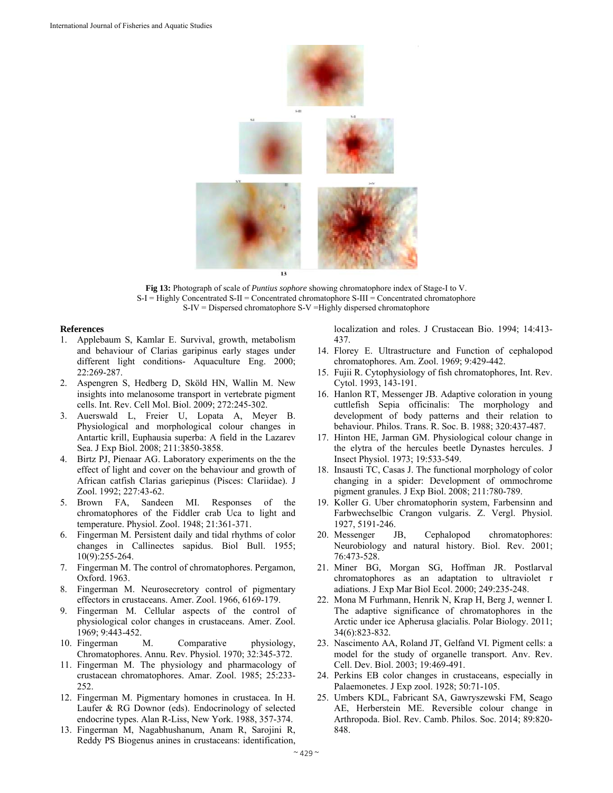

**Fig 13:** Photograph of scale of *Puntius sophore* showing chromatophore index of Stage-I to V. S-I = Highly Concentrated S-II = Concentrated chromatophore S-III = Concentrated chromatophore S-IV = Dispersed chromatophore S-V =Highly dispersed chromatophore

#### **References**

- 1. Applebaum S, Kamlar E. Survival, growth, metabolism and behaviour of Clarias garipinus early stages under different light conditions- Aquaculture Eng. 2000; 22:269-287.
- 2. Aspengren S, Hedberg D, Sköld HN, Wallin M. New insights into melanosome transport in vertebrate pigment cells. Int. Rev. Cell Mol. Biol. 2009; 272:245-302.
- 3. Auerswald L, Freier U, Lopata A, Meyer B. Physiological and morphological colour changes in Antartic krill, Euphausia superba: A field in the Lazarev Sea. J Exp Biol. 2008; 211:3850-3858.
- 4. Birtz PJ, Pienaar AG. Laboratory experiments on the the effect of light and cover on the behaviour and growth of African catfish Clarias gariepinus (Pisces: Clariidae). J Zool. 1992; 227:43-62.
- 5. Brown FA, Sandeen MI. Responses of the chromatophores of the Fiddler crab Uca to light and temperature. Physiol. Zool. 1948; 21:361-371.
- 6. Fingerman M. Persistent daily and tidal rhythms of color changes in Callinectes sapidus. Biol Bull. 1955; 10(9):255-264.
- 7. Fingerman M. The control of chromatophores. Pergamon, Oxford. 1963.
- 8. Fingerman M. Neurosecretory control of pigmentary effectors in crustaceans. Amer. Zool. 1966, 6169-179.
- Fingerman M. Cellular aspects of the control of physiological color changes in crustaceans. Amer. Zool. 1969; 9:443-452.
- 10. Fingerman M. Comparative physiology, Chromatophores. Annu. Rev. Physiol. 1970; 32:345-372.
- 11. Fingerman M. The physiology and pharmacology of crustacean chromatophores. Amar. Zool. 1985; 25:233- 252.
- 12. Fingerman M. Pigmentary homones in crustacea. In H. Laufer & RG Downor (eds). Endocrinology of selected endocrine types. Alan R-Liss, New York. 1988, 357-374.
- 13. Fingerman M, Nagabhushanum, Anam R, Sarojini R, Reddy PS Biogenus anines in crustaceans: identification,

localization and roles. J Crustacean Bio. 1994; 14:413- 437.

- 14. Florey E. Ultrastructure and Function of cephalopod chromatophores. Am. Zool. 1969; 9:429-442.
- 15. Fujii R. Cytophysiology of fish chromatophores, Int. Rev. Cytol. 1993, 143-191.
- 16. Hanlon RT, Messenger JB. Adaptive coloration in young cuttlefish Sepia officinalis: The morphology and development of body patterns and their relation to behaviour. Philos. Trans. R. Soc. B. 1988; 320:437-487.
- 17. Hinton HE, Jarman GM. Physiological colour change in the elytra of the hercules beetle Dynastes hercules. J Insect Physiol. 1973; 19:533-549.
- 18. Insausti TC, Casas J. The functional morphology of color changing in a spider: Development of ommochrome pigment granules. J Exp Biol. 2008; 211:780-789.
- 19. Koller G. Uber chromatophorin system, Farbensinn and Farbwechselbic Crangon vulgaris. Z. Vergl. Physiol. 1927, 5191-246.<br>20. Messenger J
- JB, Cephalopod chromatophores: Neurobiology and natural history. Biol. Rev. 2001; 76:473-528.
- 21. Miner BG, Morgan SG, Hoffman JR. Postlarval chromatophores as an adaptation to ultraviolet r adiations. J Exp Mar Biol Ecol. 2000; 249:235-248.
- 22. Mona M Furhmann, Henrik N, Krap H, Berg J, wenner I. The adaptive significance of chromatophores in the Arctic under ice Apherusa glacialis. Polar Biology. 2011; 34(6):823-832.
- 23. Nascimento AA, Roland JT, Gelfand VI. Pigment cells: a model for the study of organelle transport. Anv. Rev. Cell. Dev. Biol. 2003; 19:469-491.
- 24. Perkins EB color changes in crustaceans, especially in Palaemonetes. J Exp zool. 1928; 50:71-105.
- 25. Umbers KDL, Fabricant SA, Gawryszewski FM, Seago AE, Herberstein ME. Reversible colour change in Arthropoda. Biol. Rev. Camb. Philos. Soc. 2014; 89:820- 848.